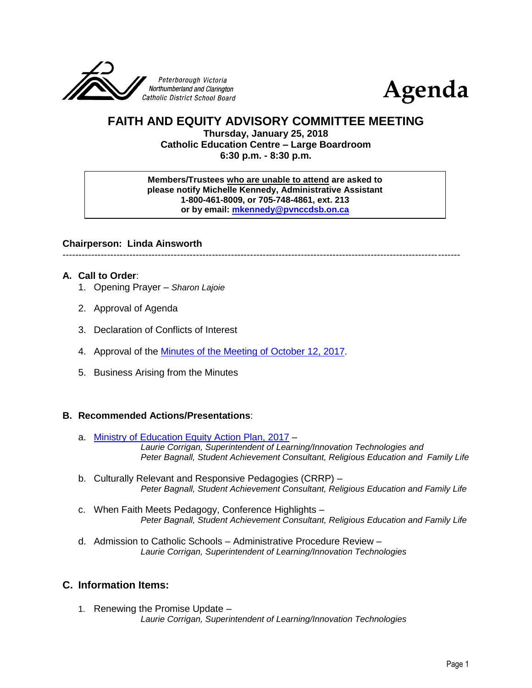



# **FAITH AND EQUITY ADVISORY COMMITTEE MEETING**

**Thursday, January 25, 2018 Catholic Education Centre – Large Boardroom 6:30 p.m. - 8:30 p.m.**

#### **Members/Trustees who are unable to attend are asked to please notify Michelle Kennedy, Administrative Assistant 1-800-461-8009, or 705-748-4861, ext. 213 or by email: [mkennedy@pvnccdsb.on.ca](mailto:mkennedy@pvnccdsb.on.ca)**

### **Chairperson: Linda Ainsworth**

-----------------------------------------------------------------------------------------------------------------------------

### **A. Call to Order**:

- 1. Opening Prayer *Sharon Lajoie*
- 2. Approval of Agenda
- 3. Declaration of Conflicts of Interest
- 4. Approval of the Minutes [of the Meeting of October 12, 2017.](https://drive.google.com/file/d/1Vy1hIvbvkIZqQcKKtDbILPfui92rhWQV/view?usp=sharing)
- 5. Business Arising from the Minutes

### **B. Recommended Actions/Presentations**:

- a. [Ministry of Education Equity Action Plan, 2017](http://www.edu.gov.on.ca/eng/about/education_equity_plan_en.pdf) *Laurie Corrigan, Superintendent of Learning/Innovation Technologies and Peter Bagnall, Student Achievement Consultant, Religious Education and Family Life*
- b. Culturally Relevant and Responsive Pedagogies (CRRP) *Peter Bagnall, Student Achievement Consultant, Religious Education and Family Life*
- c. When Faith Meets Pedagogy, Conference Highlights *Peter Bagnall, Student Achievement Consultant, Religious Education and Family Life*
- d. Admission to Catholic Schools Administrative Procedure Review *Laurie Corrigan, Superintendent of Learning/Innovation Technologies*

### **C. Information Items:**

1. Renewing the Promise Update – *Laurie Corrigan, Superintendent of Learning/Innovation Technologies*